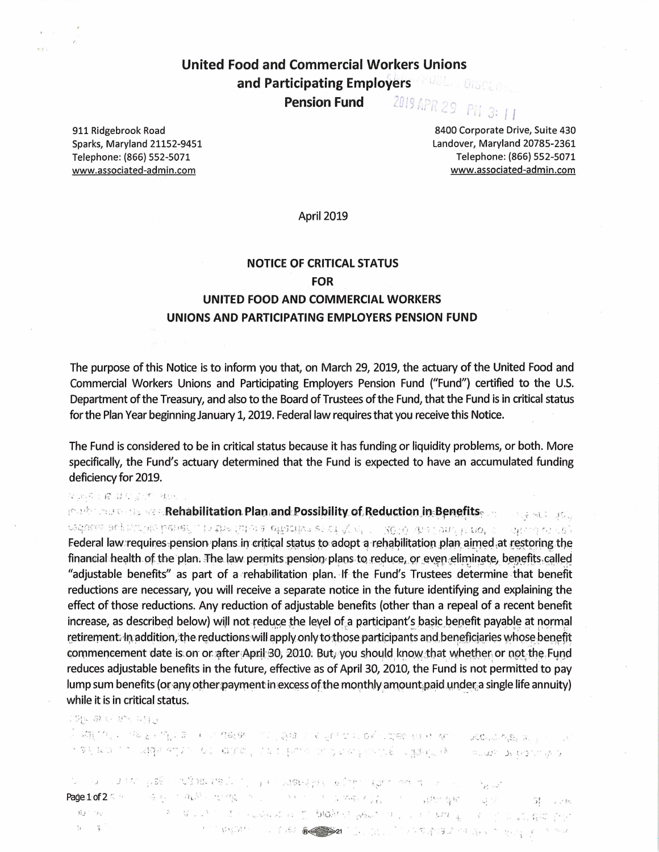**United Food and Commercial Workers Unions** and Participating Employers ANDERS DISCLIPTION 2019 APR 29 **Pension Fund** PN 3: 11

911 Ridgebrook Road Sparks, Maryland 21152-9451 Telephone: (866) 552-5071 www.associated-admin.com

8400 Corporate Drive, Suite 430 Landover, Maryland 20785-2361 Telephone: (866) 552-5071 www.associated-admin.com

 $\rightarrow$   $\sim$   $\sim$   $\sim$   $\sim$   $\sim$ 

April 2019

# **NOTICE OF CRITICAL STATUS FOR** UNITED FOOD AND COMMERCIAL WORKERS UNIONS AND PARTICIPATING EMPLOYERS PENSION FUND

The purpose of this Notice is to inform you that, on March 29, 2019, the actuary of the United Food and Commercial Workers Unions and Participating Employers Pension Fund ("Fund") certified to the U.S. Department of the Treasury, and also to the Board of Trustees of the Fund, that the Fund is in critical status for the Plan Year beginning January 1, 2019. Federal law requires that you receive this Notice.

The Fund is considered to be in critical status because it has funding or liquidity problems, or both. More specifically, the Fund's actuary determined that the Fund is expected to have an accumulated funding deficiency for 2019.

化氯苯丁醛 其是法治的 社民

mark: Algreedis ava. Rehabilitation. Plan.and: Possibility of Reduction in: Benefits ....

reduce achievate level . In the fate a effective seating  $r = 2000$  via land is not a  $\langle \langle \mathbf{y} \rangle \rangle^{\otimes n} \langle \mathbf{y} \rangle^{\otimes n} \langle \mathbf{y} \rangle^{\otimes n}$ Federal law requires pension plans in critical status to adopt a rehabilitation plan aimed at restoring the financial health of the plan. The law permits pension plans to reduce, or even eliminate, benefits called "adjustable benefits" as part of a rehabilitation plan. If the Fund's Trustees determine that benefit reductions are necessary, you will receive a separate notice in the future identifying and explaining the effect of those reductions. Any reduction of adjustable benefits (other than a repeal of a recent benefit increase, as described below) will not reduce the level of a participant's basic benefit payable at normal retirement. In addition, the reductions will apply only to those participants and beneficiaries whose benefit commencement date is on or after April 30, 2010. But, you should know that whether or not the Fund reduces adjustable benefits in the future, effective as of April 30, 2010, the Fund is not permitted to pay lump sum benefits (or any other payment in excess of the monthly amount paid under a single life annuity) while it is in critical status.

SHU 61 U BH 241.

 $\sim$  27 F F  $\approx$  10  $\sim$  10 F  $\sim$  10  $\sim$  0.1  $\sim$  10  $\sim$  10  $\sim$  10  $\sim$  10  $\sim$  10  $\sim$  10  $\sim$  10  $\sim$  10  $\sim$  10  $\sim$  10  $\sim$  10  $\sim$  10  $\sim$  10  $\sim$  10  $\sim$  10  $\sim$  10  $\sim$  10  $\sim$  10  $\sim$  10  $\sim$  10  $\sim$  10  $\sim$  1

் பட பால நான் நிறு நேரைவைப் படவுக்கும் குற்ற ஜாட்சு நட்ட المحمد المو<sup>ان</sup> ... Page:1:of 2 Site of the experiment of the state of the state of the state of the state of the state of the state of the state of the state of the state of the state of the state of the state of the state of the state of th  $\mathbb{E}[\mathbb{E}^{\mathbb{P}}_t] = \mathbb{E}[\mathbb{E}^{\mathbb{P}}_t] = \mathbb{E}[\mathbb{E}^{\mathbb{P}}_t] = \mathbb{E}[\mathbb{E}^{\mathbb{P}}_t]$ 인 그리고 아이 그는 사람들이 있는 것이 있는 것이다. 그리고 있는 것이 있는 것이 있는 것이 없다.  $n_2$  and  $\mathbf{Y}_{\mathbf{A}}$  .  $\mathcal{L}_{\mathcal{A}}$